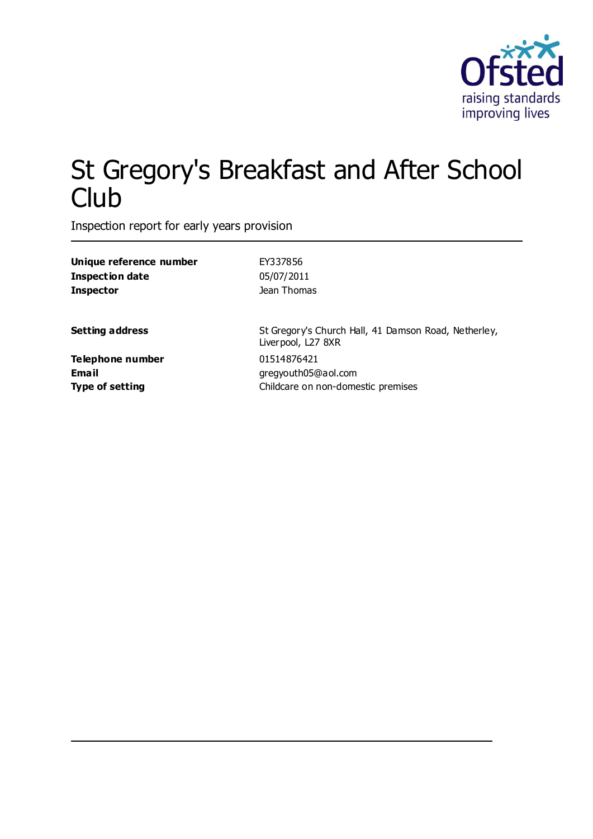

# St Gregory's Breakfast and After School **Club**

Inspection report for early years provision

| Unique reference number | EY337856                                                                               |  |
|-------------------------|----------------------------------------------------------------------------------------|--|
| <b>Inspection date</b>  | 05/07/2011                                                                             |  |
| <b>Inspector</b>        | Jean Thomas                                                                            |  |
| <b>Setting address</b>  | St Gregory's Church Hall, 41 Damson Road, Netherley,<br>Liverpool, L <sub>27</sub> 8XR |  |
| Telephone number        | 01514876421                                                                            |  |
| <b>Email</b>            | gregyouth05@aol.com                                                                    |  |
| <b>Type of setting</b>  | Childcare on non-domestic premises                                                     |  |
|                         |                                                                                        |  |
|                         |                                                                                        |  |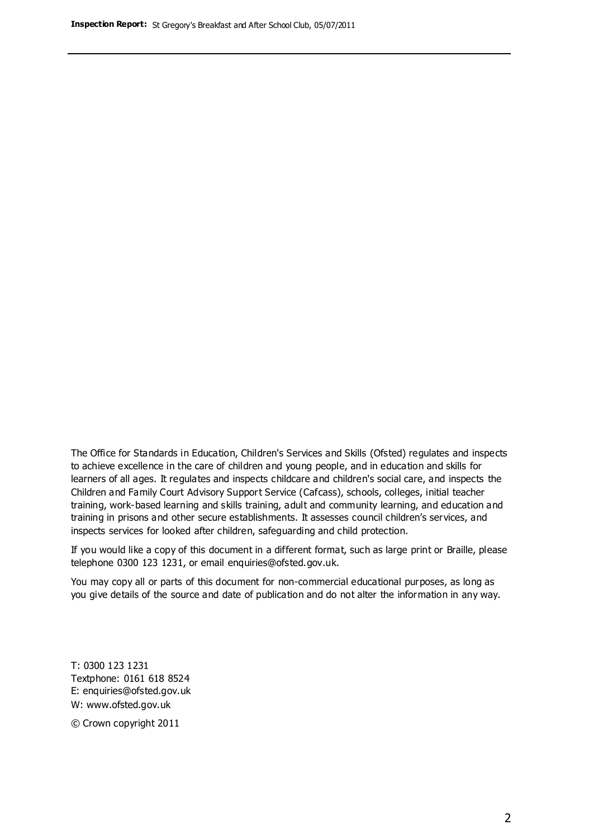The Office for Standards in Education, Children's Services and Skills (Ofsted) regulates and inspects to achieve excellence in the care of children and young people, and in education and skills for learners of all ages. It regulates and inspects childcare and children's social care, and inspects the Children and Family Court Advisory Support Service (Cafcass), schools, colleges, initial teacher training, work-based learning and skills training, adult and community learning, and education and training in prisons and other secure establishments. It assesses council children's services, and inspects services for looked after children, safeguarding and child protection.

If you would like a copy of this document in a different format, such as large print or Braille, please telephone 0300 123 1231, or email enquiries@ofsted.gov.uk.

You may copy all or parts of this document for non-commercial educational purposes, as long as you give details of the source and date of publication and do not alter the information in any way.

T: 0300 123 1231 Textphone: 0161 618 8524 E: enquiries@ofsted.gov.uk W: [www.ofsted.gov.uk](http://www.ofsted.gov.uk/)

© Crown copyright 2011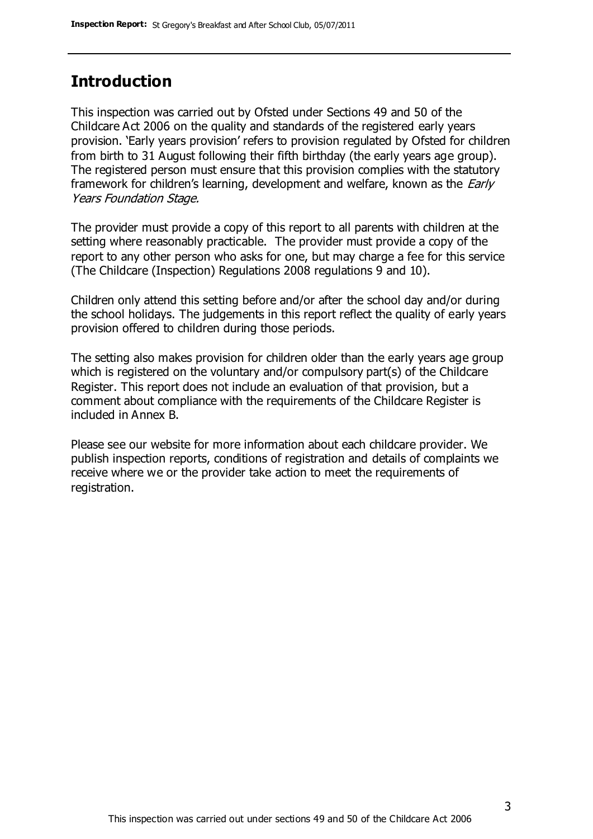# **Introduction**

This inspection was carried out by Ofsted under Sections 49 and 50 of the Childcare Act 2006 on the quality and standards of the registered early years provision. 'Early years provision' refers to provision regulated by Ofsted for children from birth to 31 August following their fifth birthday (the early years age group). The registered person must ensure that this provision complies with the statutory framework for children's learning, development and welfare, known as the *Early* Years Foundation Stage.

The provider must provide a copy of this report to all parents with children at the setting where reasonably practicable. The provider must provide a copy of the report to any other person who asks for one, but may charge a fee for this service (The Childcare (Inspection) Regulations 2008 regulations 9 and 10).

Children only attend this setting before and/or after the school day and/or during the school holidays. The judgements in this report reflect the quality of early years provision offered to children during those periods.

The setting also makes provision for children older than the early years age group which is registered on the voluntary and/or compulsory part(s) of the Childcare Register. This report does not include an evaluation of that provision, but a comment about compliance with the requirements of the Childcare Register is included in Annex B.

Please see our website for more information about each childcare provider. We publish inspection reports, conditions of registration and details of complaints we receive where we or the provider take action to meet the requirements of registration.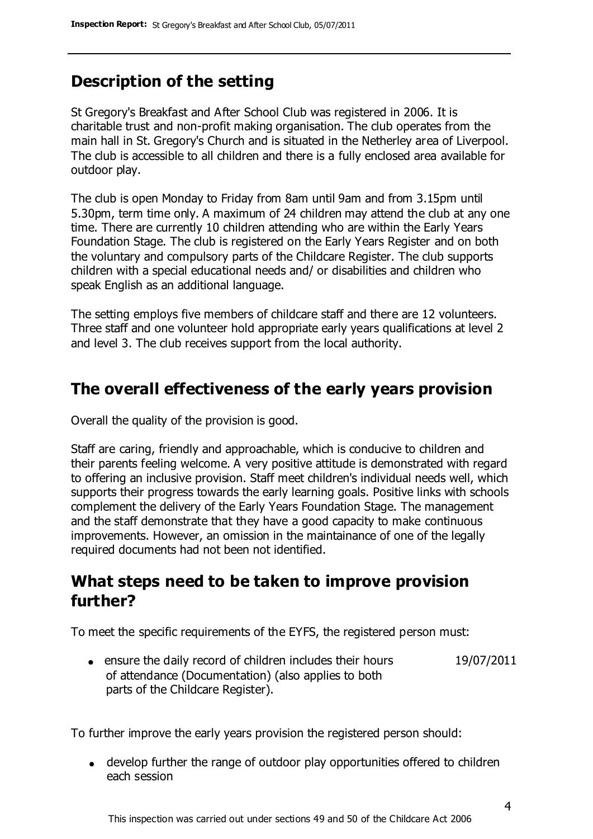# **Description of the setting**

St Gregory's Breakfast and After School Club was registered in 2006. It is charitable trust and non-profit making organisation. The club operates from the main hall in St. Gregory's Church and is situated in the Netherley area of Liverpool. The club is accessible to all children and there is a fully enclosed area available for outdoor play.

The club is open Monday to Friday from 8am until 9am and from 3.15pm until 5.30pm, term time only. A maximum of 24 children may attend the club at any one time. There are currently 10 children attending who are within the Early Years Foundation Stage. The club is registered on the Early Years Register and on both the voluntary and compulsory parts of the Childcare Register. The club supports children with a special educational needs and/ or disabilities and children who speak English as an additional language.

The setting employs five members of childcare staff and there are 12 volunteers. Three staff and one volunteer hold appropriate early years qualifications at level 2 and level 3. The club receives support from the local authority.

### **The overall effectiveness of the early years provision**

Overall the quality of the provision is good.

Staff are caring, friendly and approachable, which is conducive to children and their parents feeling welcome. A very positive attitude is demonstrated with regard to offering an inclusive provision. Staff meet children's individual needs well, which supports their progress towards the early learning goals. Positive links with schools complement the delivery of the Early Years Foundation Stage. The management and the staff demonstrate that they have a good capacity to make continuous improvements. However, an omission in the maintainance of one of the legally required documents had not been not identified.

# **What steps need to be taken to improve provision further?**

To meet the specific requirements of the EYFS, the registered person must:

ensure the daily record of children includes their hours of attendance (Documentation) (also applies to both parts of the Childcare Register). 19/07/2011

To further improve the early years provision the registered person should:

develop further the range of outdoor play opportunities offered to children each session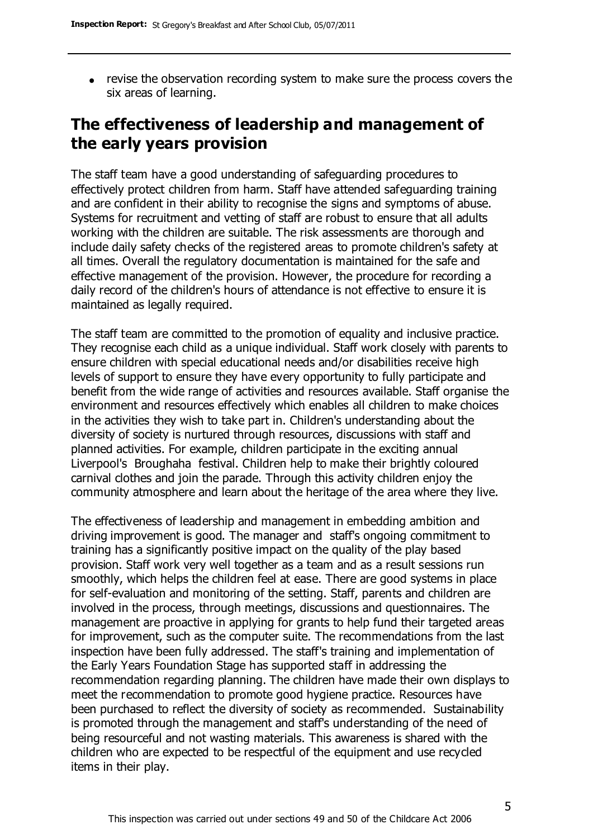revise the observation recording system to make sure the process covers the six areas of learning.

# **The effectiveness of leadership and management of the early years provision**

The staff team have a good understanding of safeguarding procedures to effectively protect children from harm. Staff have attended safeguarding training and are confident in their ability to recognise the signs and symptoms of abuse. Systems for recruitment and vetting of staff are robust to ensure that all adults working with the children are suitable. The risk assessments are thorough and include daily safety checks of the registered areas to promote children's safety at all times. Overall the regulatory documentation is maintained for the safe and effective management of the provision. However, the procedure for recording a daily record of the children's hours of attendance is not effective to ensure it is maintained as legally required.

The staff team are committed to the promotion of equality and inclusive practice. They recognise each child as a unique individual. Staff work closely with parents to ensure children with special educational needs and/or disabilities receive high levels of support to ensure they have every opportunity to fully participate and benefit from the wide range of activities and resources available. Staff organise the environment and resources effectively which enables all children to make choices in the activities they wish to take part in. Children's understanding about the diversity of society is nurtured through resources, discussions with staff and planned activities. For example, children participate in the exciting annual Liverpool's Broughaha festival. Children help to make their brightly coloured carnival clothes and join the parade. Through this activity children enjoy the community atmosphere and learn about the heritage of the area where they live.

The effectiveness of leadership and management in embedding ambition and driving improvement is good. The manager and staff's ongoing commitment to training has a significantly positive impact on the quality of the play based provision. Staff work very well together as a team and as a result sessions run smoothly, which helps the children feel at ease. There are good systems in place for self-evaluation and monitoring of the setting. Staff, parents and children are involved in the process, through meetings, discussions and questionnaires. The management are proactive in applying for grants to help fund their targeted areas for improvement, such as the computer suite. The recommendations from the last inspection have been fully addressed. The staff's training and implementation of the Early Years Foundation Stage has supported staff in addressing the recommendation regarding planning. The children have made their own displays to meet the recommendation to promote good hygiene practice. Resources have been purchased to reflect the diversity of society as recommended. Sustainability is promoted through the management and staff's understanding of the need of being resourceful and not wasting materials. This awareness is shared with the children who are expected to be respectful of the equipment and use recycled items in their play.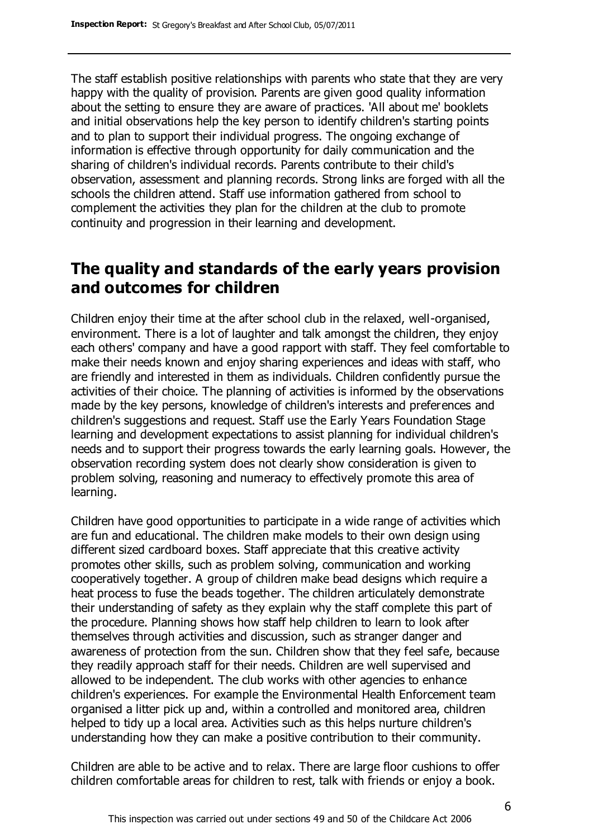The staff establish positive relationships with parents who state that they are very happy with the quality of provision. Parents are given good quality information about the setting to ensure they are aware of practices. 'All about me' booklets and initial observations help the key person to identify children's starting points and to plan to support their individual progress. The ongoing exchange of information is effective through opportunity for daily communication and the sharing of children's individual records. Parents contribute to their child's observation, assessment and planning records. Strong links are forged with all the schools the children attend. Staff use information gathered from school to complement the activities they plan for the children at the club to promote continuity and progression in their learning and development.

# **The quality and standards of the early years provision and outcomes for children**

Children enjoy their time at the after school club in the relaxed, well-organised, environment. There is a lot of laughter and talk amongst the children, they enjoy each others' company and have a good rapport with staff. They feel comfortable to make their needs known and enjoy sharing experiences and ideas with staff, who are friendly and interested in them as individuals. Children confidently pursue the activities of their choice. The planning of activities is informed by the observations made by the key persons, knowledge of children's interests and preferences and children's suggestions and request. Staff use the Early Years Foundation Stage learning and development expectations to assist planning for individual children's needs and to support their progress towards the early learning goals. However, the observation recording system does not clearly show consideration is given to problem solving, reasoning and numeracy to effectively promote this area of learning.

Children have good opportunities to participate in a wide range of activities which are fun and educational. The children make models to their own design using different sized cardboard boxes. Staff appreciate that this creative activity promotes other skills, such as problem solving, communication and working cooperatively together. A group of children make bead designs which require a heat process to fuse the beads together. The children articulately demonstrate their understanding of safety as they explain why the staff complete this part of the procedure. Planning shows how staff help children to learn to look after themselves through activities and discussion, such as stranger danger and awareness of protection from the sun. Children show that they feel safe, because they readily approach staff for their needs. Children are well supervised and allowed to be independent. The club works with other agencies to enhance children's experiences. For example the Environmental Health Enforcement team organised a litter pick up and, within a controlled and monitored area, children helped to tidy up a local area. Activities such as this helps nurture children's understanding how they can make a positive contribution to their community.

Children are able to be active and to relax. There are large floor cushions to offer children comfortable areas for children to rest, talk with friends or enjoy a book.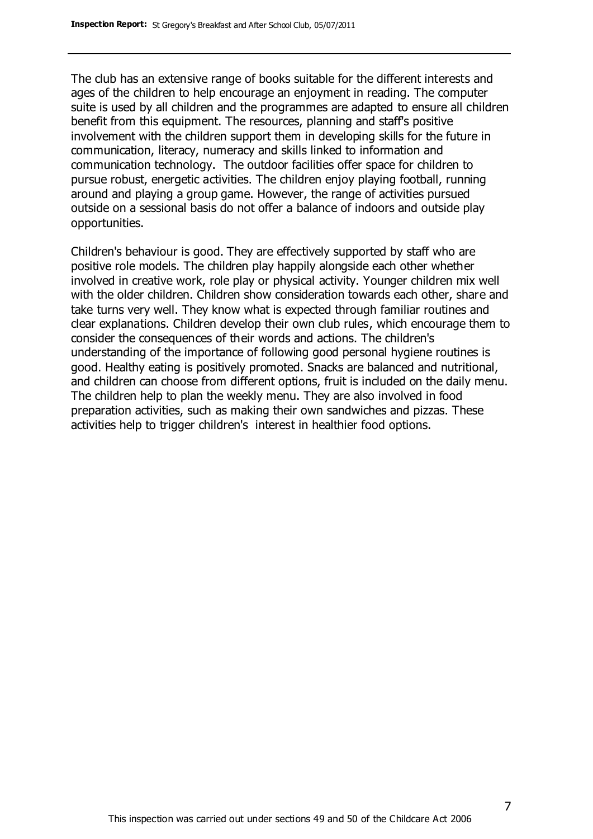The club has an extensive range of books suitable for the different interests and ages of the children to help encourage an enjoyment in reading. The computer suite is used by all children and the programmes are adapted to ensure all children benefit from this equipment. The resources, planning and staff's positive involvement with the children support them in developing skills for the future in communication, literacy, numeracy and skills linked to information and communication technology. The outdoor facilities offer space for children to pursue robust, energetic activities. The children enjoy playing football, running around and playing a group game. However, the range of activities pursued outside on a sessional basis do not offer a balance of indoors and outside play opportunities.

Children's behaviour is good. They are effectively supported by staff who are positive role models. The children play happily alongside each other whether involved in creative work, role play or physical activity. Younger children mix well with the older children. Children show consideration towards each other, share and take turns very well. They know what is expected through familiar routines and clear explanations. Children develop their own club rules, which encourage them to consider the consequences of their words and actions. The children's understanding of the importance of following good personal hygiene routines is good. Healthy eating is positively promoted. Snacks are balanced and nutritional, and children can choose from different options, fruit is included on the daily menu. The children help to plan the weekly menu. They are also involved in food preparation activities, such as making their own sandwiches and pizzas. These activities help to trigger children's interest in healthier food options.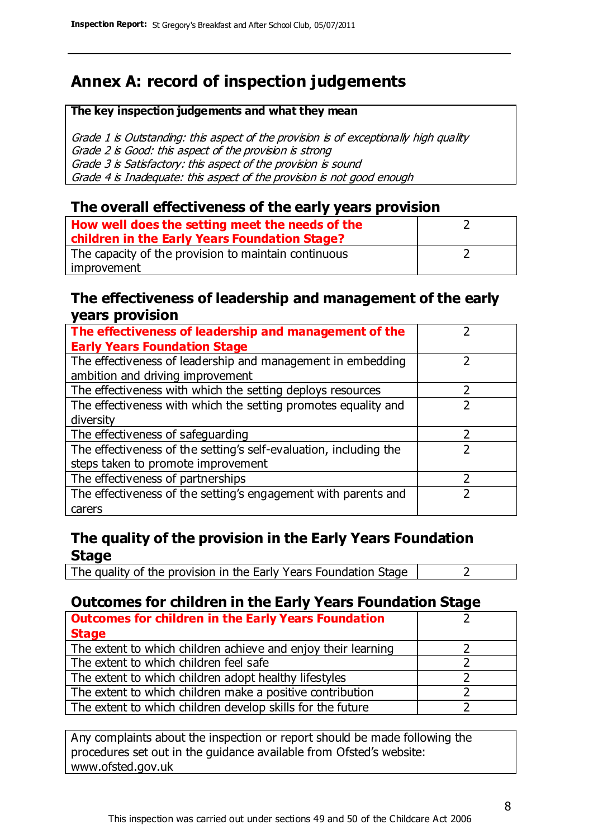# **Annex A: record of inspection judgements**

#### **The key inspection judgements and what they mean**

Grade 1 is Outstanding: this aspect of the provision is of exceptionally high quality Grade 2 is Good: this aspect of the provision is strong Grade 3 is Satisfactory: this aspect of the provision is sound Grade 4 is Inadequate: this aspect of the provision is not good enough

#### **The overall effectiveness of the early years provision**

| How well does the setting meet the needs of the      |  |
|------------------------------------------------------|--|
| children in the Early Years Foundation Stage?        |  |
| The capacity of the provision to maintain continuous |  |
| improvement                                          |  |

#### **The effectiveness of leadership and management of the early years provision**

| The effectiveness of leadership and management of the             |   |
|-------------------------------------------------------------------|---|
| <b>Early Years Foundation Stage</b>                               |   |
| The effectiveness of leadership and management in embedding       |   |
| ambition and driving improvement                                  |   |
| The effectiveness with which the setting deploys resources        |   |
| The effectiveness with which the setting promotes equality and    |   |
| diversity                                                         |   |
| The effectiveness of safeguarding                                 | 7 |
| The effectiveness of the setting's self-evaluation, including the |   |
| steps taken to promote improvement                                |   |
| The effectiveness of partnerships                                 |   |
| The effectiveness of the setting's engagement with parents and    |   |
| carers                                                            |   |

#### **The quality of the provision in the Early Years Foundation Stage**

The quality of the provision in the Early Years Foundation Stage  $\vert$  2

#### **Outcomes for children in the Early Years Foundation Stage**

| <b>Outcomes for children in the Early Years Foundation</b>    |  |
|---------------------------------------------------------------|--|
| <b>Stage</b>                                                  |  |
| The extent to which children achieve and enjoy their learning |  |
| The extent to which children feel safe                        |  |
| The extent to which children adopt healthy lifestyles         |  |
| The extent to which children make a positive contribution     |  |
| The extent to which children develop skills for the future    |  |

Any complaints about the inspection or report should be made following the procedures set out in the guidance available from Ofsted's website: www.ofsted.gov.uk